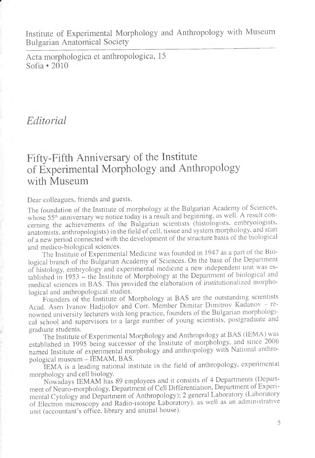Institute of Experimental Morphology and Anthropology with Museum Bulgarian Anatomical Society

Acta morphologica et anthropologica, 15 Sofia \*2010

## *Editorial*

## Fifty-Fifth Anniversary of the Institute of Experimental Morphology and Anthropology with Museum

Dear colleagues, friends and guests,

The foundation of the Institute of morphology at the Bulgarian Academy of Sciences, whose 55<sup>th</sup> anniversary we notice today is a result and beginning, as well. A result concerning the achievements of the Bulgarian scientists (histologists, embryologists, anatomists, anthropologists) in the field of cell, tissue and system morphology, and start of a new period connected with the development of the structure basis of the biological and medico-biological sciences.

The Institute of Experimental Medicine was founded in 1947 as a part of the Biological branch of the Bulgarian Academy of Sciences. On the base of the Department of histology, embryology and experimental medicine a new independent unit was established in 1953 - the Institute of Morphology at the Department of biological and medical sciences in BAS. This provided the elaboration of institutionalized morphological and anthropological studies.

Founders of the Institute of Morphology at BAS are the outstanding scientists Acad. Asen Ivanov Hadjiolov and Corr. Member Dimitar Dimitrov Kadanov — renowned university lecturers with long practice, founders of the Bulgarian morphological school and supervisors to a large number of young scientists, postgraduate and graduate students.

The Institute of Experimental Morphology and Anthropology at BAS (1EMA) was established in 1995 being successor of the Institute of morphology, and since 2006 named Institute of experimental morphology and anthropology with National anthropological museum – IEMAM, BAS.

IEMA is a leading national institute in the field of anthropology, experimental morphology and cell biology.

Nowadays IEMAM has 89 employees and it consists of 4 Departments (Department of Neuro-morphology, Department of Cell Differentiation, Department of Experimental Cytology and Department of Anthropology); 2 general Laboratory (Laboratory of Electron microscopy and Radio-isotope Laboratory), as well as an administrative unit (accountant's office, library and animal house).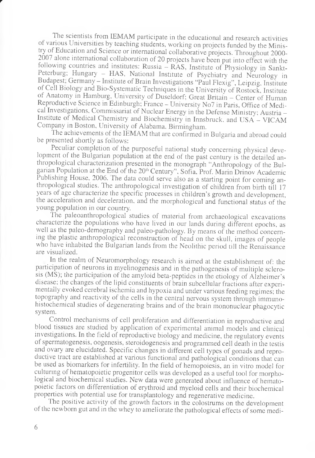The scientists from IEMAM participate in the educational and research activities of various Universities by teaching students, working on projects funded by the Ministry of Education and Science or international collaborative projects. Throughout 2000 2007 alone international collaboration of 20 projects have been put into effect with the following countries and institutes: Russia  $-\overline{RAS}$ , Institute of Physiology in Sankt-Peterburg; Hungary - HAS, National Institute of Psychiatry and Neurology in Budapest, Germany - Institute of Brain Investigations "Paul Flexig", Leipzig, Institute of Cell Biology and Bio-Systematic Techniques in the University of Rostock, Institute of Anatomy in Hamburg, University of Duseldorf; Great Britain - Center of Human Reproductive Science in Edinburgh; France - University No7 in Paris, Office of Medical Investigations, Commissariat of Nuclear Energy in the Defense Ministry; Austria - Institute of Medical Chemistry and Biochemistry in Innsbruck, and USA - VICAM Company in Boston, University of Alabama, Birmingham.

The achievements of the IEMAM that are confirmed in Bulgaria and abroad could be presented shortly as follows:

Peculiar completion of the purposeful national study concerning physical development of the Bulgarian population at the end of the past century is the detailed anthropological characterization presented in the monograph "Anthropology of the Bulgarian Population at the End of the 20<sup>th</sup> Century", Sofia, Prof. Marin Drinov Academic Publishing House, 2006. The data could serve also as a starting point for coming anthropological studies. The anthropological investigation of children from birth till 17 years of age characterize the specific processes in children's growth and development, the acceleration and deceleration, and the morphological and functional status of the young population in our country.

The paleoanthropological studies of material from archaeological excavations characterize the populations who have lived in our lands during different epochs, as well as the paleo-demography and paleo-pathology. By means of the method concerning the plastic anthropological reconstruction of head on the skull, images of people who have inhabited the Bulgarian lands from the Neolithic period till the Renaissance are visualized.

In the realm of Neuromorphology research is aimed at the establishment of: the participation of neurons in myelinogenesis and in the pathogenesis of multiple sclerosis (MS); the participation of the amyloid beta-peptides in the etiology of Alzheimer's disease; the changes of the lipid constituents of brain subcellular fractions after experimentally evoked cerebral ischemia and hypoxia and under various feeding regimes; the topography and reactivity of the cells in the central nervous system through immunohistochemical studies of degenerating brains and of the brain mononuclear phagocytic system.

Control mechanisms of cell proliferation and differentiation in reproductive and blood tissues are studied by application of experimental animal models and clinical investigations. In the field of reproductive biology and medicine, the regulatory events of spermatogenesis, oogenesis, steroidogenesis and programmed cell death in the testis and ovary are elucidated. Specific changes in different cell types of gonads and reproductive tract are established at various functional and pathological conditions that can be used as biomarkers for infertility. In the field of hemopoiesis, an in vitro model for culturing of hematopoietic progenitor cells was developed as a useful tool for morphological and biochemical studies. New data were generated about influence of hematopoietic factors on differentiation of erythroid and myeloid cells and their biochemical properties with potential use for transplantology and regenerative medicine.

The positive activity of the growth factors in the colostrums on the development of the newborn gut and in the whey to ameliorate the pathological effects of some medi